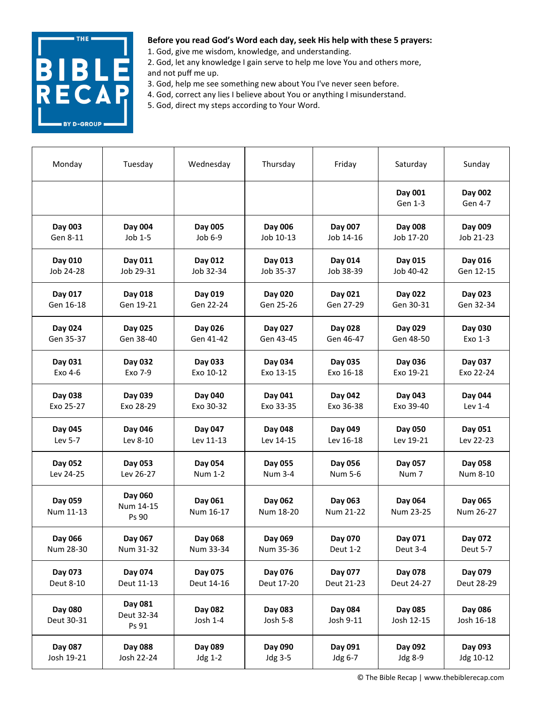

1. God, give me wisdom, knowledge, and understanding.

2. God, let any knowledge I gain serve to help me love You and others more, and not puff me up.

- 3. God, help me see something new about You I've never seen before.
- 4. God, correct any lies I believe about You or anything I misunderstand.
- 5. God, direct my steps according to Your Word.

| Monday                | Tuesday                        | Wednesday            | Thursday             | Friday               | Saturday              | Sunday                |
|-----------------------|--------------------------------|----------------------|----------------------|----------------------|-----------------------|-----------------------|
|                       |                                |                      |                      |                      | Day 001<br>Gen 1-3    | Day 002<br>Gen 4-7    |
| Day 003               | Day 004                        | Day 005              | Day 006              | Day 007              | Day 008               | Day 009               |
| Gen 8-11              | Job 1-5                        | Job 6-9              | Job 10-13            | Job 14-16            | Job 17-20             | Job 21-23             |
| Day 010               | Day 011                        | Day 012              | Day 013              | Day 014              | Day 015               | Day 016               |
| Job 24-28             | Job 29-31                      | Job 32-34            | Job 35-37            | Job 38-39            | Job 40-42             | Gen 12-15             |
| Day 017               | Day 018                        | Day 019              | Day 020              | Day 021              | Day 022               | Day 023               |
| Gen 16-18             | Gen 19-21                      | Gen 22-24            | Gen 25-26            | Gen 27-29            | Gen 30-31             | Gen 32-34             |
| Day 024               | Day 025                        | Day 026              | Day 027              | Day 028              | Day 029               | Day 030               |
| Gen 35-37             | Gen 38-40                      | Gen 41-42            | Gen 43-45            | Gen 46-47            | Gen 48-50             | Exo 1-3               |
| Day 031               | Day 032                        | Day 033              | Day 034              | Day 035              | Day 036               | Day 037               |
| Exo 4-6               | Exo 7-9                        | Exo 10-12            | Exo 13-15            | Exo 16-18            | Exo 19-21             | Exo 22-24             |
| Day 038               | Day 039                        | Day 040              | Day 041              | Day 042              | Day 043               | Day 044               |
| Exo 25-27             | Exo 28-29                      | Exo 30-32            | Exo 33-35            | Exo 36-38            | Exo 39-40             | Lev 1-4               |
| Day 045               | Day 046                        | Day 047              | Day 048              | Day 049              | Day 050               | Day 051               |
| Lev 5-7               | Lev 8-10                       | Lev 11-13            | Lev 14-15            | Lev 16-18            | Lev 19-21             | Lev 22-23             |
| Day 052               | Day 053                        | Day 054              | Day 055              | Day 056              | Day 057               | Day 058               |
| Lev 24-25             | Lev 26-27                      | <b>Num 1-2</b>       | <b>Num 3-4</b>       | Num 5-6              | Num <sub>7</sub>      | Num 8-10              |
| Day 059<br>Num 11-13  | Day 060<br>Num 14-15<br>Ps 90  | Day 061<br>Num 16-17 | Day 062<br>Num 18-20 | Day 063<br>Num 21-22 | Day 064<br>Num 23-25  | Day 065<br>Num 26-27  |
| Day 066               | Day 067                        | Day 068              | Day 069              | Day 070              | Day 071               | Day 072               |
| Num 28-30             | Num 31-32                      | Num 33-34            | Num 35-36            | Deut 1-2             | Deut 3-4              | Deut 5-7              |
| Day 073               | Day 074                        | Day 075              | Day 076              | Day 077              | Day 078               | Day 079               |
| Deut 8-10             | Deut 11-13                     | Deut 14-16           | Deut 17-20           | Deut 21-23           | Deut 24-27            | Deut 28-29            |
| Day 080<br>Deut 30-31 | Day 081<br>Deut 32-34<br>Ps 91 | Day 082<br>Josh 1-4  | Day 083<br>Josh 5-8  | Day 084<br>Josh 9-11 | Day 085<br>Josh 12-15 | Day 086<br>Josh 16-18 |
| Day 087               | Day 088                        | Day 089              | Day 090              | Day 091              | Day 092               | Day 093               |
| Josh 19-21            | Josh 22-24                     | Jdg 1-2              | Jdg 3-5              | Jdg 6-7              | Jdg 8-9               | Jdg 10-12             |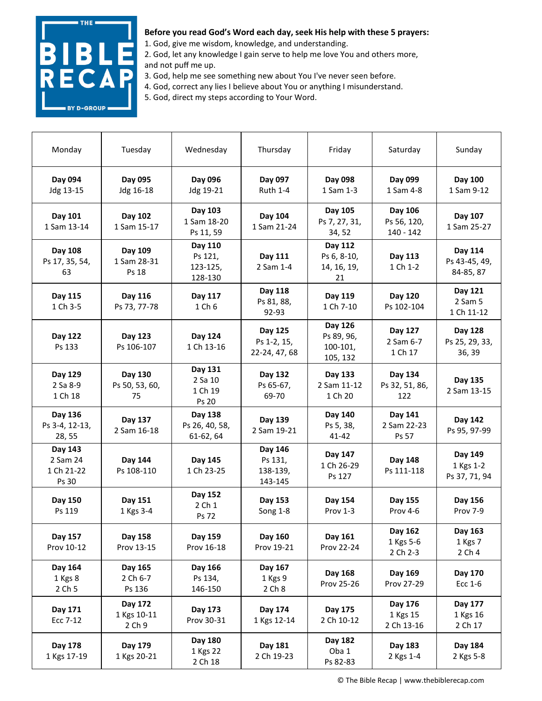

1. God, give me wisdom, knowledge, and understanding.

- 2. God, let any knowledge I gain serve to help me love You and others more, and not puff me up.
- 3. God, help me see something new about You I've never seen before.
- 4. God, correct any lies I believe about You or anything I misunderstand.
- 5. God, direct my steps according to Your Word.

| Monday                                     | Tuesday                          | Wednesday                                 | Thursday                                  | Friday                                        | Saturday                            | Sunday                                |
|--------------------------------------------|----------------------------------|-------------------------------------------|-------------------------------------------|-----------------------------------------------|-------------------------------------|---------------------------------------|
| Day 094<br>Jdg 13-15                       | Day 095<br>Jdg 16-18             | Day 096<br>Jdg 19-21                      | Day 097<br><b>Ruth 1-4</b>                | Day 098<br>1 Sam 1-3                          | Day 099<br>1 Sam 4-8                | Day 100<br>1 Sam 9-12                 |
| Day 101<br>1 Sam 13-14                     | Day 102<br>1 Sam 15-17           | Day 103<br>1 Sam 18-20<br>Ps 11, 59       | Day 104<br>1 Sam 21-24                    | Day 105<br>Ps 7, 27, 31,<br>34, 52            | Day 106<br>Ps 56, 120,<br>140 - 142 | Day 107<br>1 Sam 25-27                |
| Day 108<br>Ps 17, 35, 54,<br>63            | Day 109<br>1 Sam 28-31<br>Ps 18  | Day 110<br>Ps 121,<br>123-125,<br>128-130 | Day 111<br>2 Sam 1-4                      | Day 112<br>Ps 6, 8-10,<br>14, 16, 19,<br>21   | Day 113<br>1 Ch 1-2                 | Day 114<br>Ps 43-45, 49,<br>84-85, 87 |
| Day 115<br>1 Ch 3-5                        | Day 116<br>Ps 73, 77-78          | Day 117<br>1 Ch 6                         | Day 118<br>Ps 81, 88,<br>92-93            | Day 119<br>1 Ch 7-10                          | Day 120<br>Ps 102-104               | Day 121<br>2 Sam 5<br>1 Ch 11-12      |
| Day 122<br>Ps 133                          | Day 123<br>Ps 106-107            | Day 124<br>1 Ch 13-16                     | Day 125<br>Ps 1-2, 15,<br>22-24, 47, 68   | Day 126<br>Ps 89, 96,<br>100-101,<br>105, 132 | Day 127<br>2 Sam 6-7<br>1 Ch 17     | Day 128<br>Ps 25, 29, 33,<br>36, 39   |
| Day 129<br>2 Sa 8-9<br>1 Ch 18             | Day 130<br>Ps 50, 53, 60,<br>75  | Day 131<br>2 Sa 10<br>1 Ch 19<br>Ps 20    | Day 132<br>Ps 65-67,<br>69-70             | Day 133<br>2 Sam 11-12<br>1 Ch 20             | Day 134<br>Ps 32, 51, 86,<br>122    | Day 135<br>2 Sam 13-15                |
| Day 136<br>Ps 3-4, 12-13,<br>28, 55        | Day 137<br>2 Sam 16-18           | Day 138<br>Ps 26, 40, 58,<br>61-62, 64    | Day 139<br>2 Sam 19-21                    | Day 140<br>Ps 5, 38,<br>$41 - 42$             | Day 141<br>2 Sam 22-23<br>Ps 57     | Day 142<br>Ps 95, 97-99               |
| Day 143<br>2 Sam 24<br>1 Ch 21-22<br>Ps 30 | Day 144<br>Ps 108-110            | Day 145<br>1 Ch 23-25                     | Day 146<br>Ps 131,<br>138-139,<br>143-145 | Day 147<br>1 Ch 26-29<br>Ps 127               | Day 148<br>Ps 111-118               | Day 149<br>1 Kgs 1-2<br>Ps 37, 71, 94 |
| Day 150<br>Ps 119                          | Day 151<br>1 Kgs 3-4             | Day 152<br>2 Ch 1<br>Ps 72                | Day 153<br>Song 1-8                       | Day 154<br>Prov 1-3                           | Day 155<br>Prov 4-6                 | Day 156<br>Prov 7-9                   |
| Day 157<br>Prov 10-12                      | Day 158<br>Prov 13-15            | Day 159<br>Prov 16-18                     | Day 160<br>Prov 19-21                     | Day 161<br>Prov 22-24                         | Day 162<br>1 Kgs 5-6<br>2 Ch 2-3    | Day 163<br>1 Kgs 7<br>2 Ch 4          |
| Day 164<br>1 Kgs 8<br>2 Ch 5               | Day 165<br>2 Ch 6-7<br>Ps 136    | Day 166<br>Ps 134,<br>146-150             | Day 167<br>1 Kgs 9<br>2 Ch 8              | Day 168<br>Prov 25-26                         | Day 169<br>Prov 27-29               | Day 170<br>Ecc 1-6                    |
| Day 171<br>Ecc 7-12                        | Day 172<br>1 Kgs 10-11<br>2 Ch 9 | Day 173<br>Prov 30-31                     | Day 174<br>1 Kgs 12-14                    | Day 175<br>2 Ch 10-12                         | Day 176<br>1 Kgs 15<br>2 Ch 13-16   | Day 177<br>1 Kgs 16<br>2 Ch 17        |
| Day 178<br>1 Kgs 17-19                     | Day 179<br>1 Kgs 20-21           | Day 180<br>1 Kgs 22<br>2 Ch 18            | Day 181<br>2 Ch 19-23                     | Day 182<br>Oba 1<br>Ps 82-83                  | Day 183<br>2 Kgs 1-4                | Day 184<br>2 Kgs 5-8                  |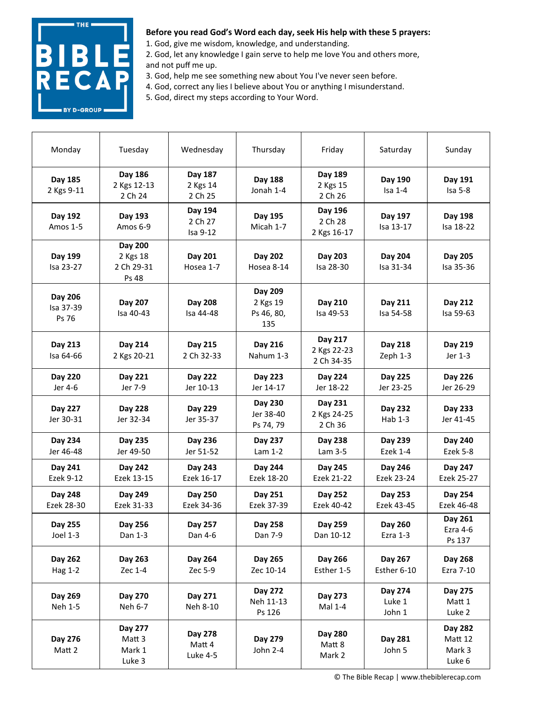

1. God, give me wisdom, knowledge, and understanding.

2. God, let any knowledge I gain serve to help me love You and others more, and not puff me up.

3. God, help me see something new about You I've never seen before.

4. God, correct any lies I believe about You or anything I misunderstand.

5. God, direct my steps according to Your Word.

| Monday                        | Tuesday                                    | Wednesday                      | Thursday                                 | Friday                               | Saturday                    | Sunday                                 |
|-------------------------------|--------------------------------------------|--------------------------------|------------------------------------------|--------------------------------------|-----------------------------|----------------------------------------|
| Day 185<br>2 Kgs 9-11         | Day 186<br>2 Kgs 12-13<br>2 Ch 24          | Day 187<br>2 Kgs 14<br>2 Ch 25 | Day 188<br>Jonah 1-4                     | Day 189<br>2 Kgs 15<br>2 Ch 26       | Day 190<br>$Isa 1-4$        | Day 191<br>Isa 5-8                     |
| Day 192<br>Amos 1-5           | Day 193<br>Amos 6-9                        | Day 194<br>2 Ch 27<br>Isa 9-12 | Day 195<br>Micah 1-7                     | Day 196<br>2 Ch 28<br>2 Kgs 16-17    | Day 197<br>Isa 13-17        | Day 198<br>Isa 18-22                   |
| Day 199<br>Isa 23-27          | Day 200<br>2 Kgs 18<br>2 Ch 29-31<br>Ps 48 | Day 201<br>Hosea 1-7           | Day 202<br>Hosea 8-14                    | Day 203<br>Isa 28-30                 | Day 204<br>Isa 31-34        | Day 205<br>Isa 35-36                   |
| Day 206<br>Isa 37-39<br>Ps 76 | Day 207<br>Isa 40-43                       | Day 208<br>Isa 44-48           | Day 209<br>2 Kgs 19<br>Ps 46, 80,<br>135 | Day 210<br>Isa 49-53                 | Day 211<br>Isa 54-58        | Day 212<br>Isa 59-63                   |
| Day 213<br>Isa 64-66          | Day 214<br>2 Kgs 20-21                     | Day 215<br>2 Ch 32-33          | Day 216<br>Nahum 1-3                     | Day 217<br>2 Kgs 22-23<br>2 Ch 34-35 | Day 218<br>Zeph 1-3         | Day 219<br>Jer 1-3                     |
| Day 220<br>Jer 4-6            | Day 221<br>Jer 7-9                         | Day 222<br>Jer 10-13           | Day 223<br>Jer 14-17                     | Day 224<br>Jer 18-22                 | Day 225<br>Jer 23-25        | Day 226<br>Jer 26-29                   |
| Day 227<br>Jer 30-31          | <b>Day 228</b><br>Jer 32-34                | Day 229<br>Jer 35-37           | Day 230<br>Jer 38-40<br>Ps 74, 79        | Day 231<br>2 Kgs 24-25<br>2 Ch 36    | Day 232<br>Hab 1-3          | Day 233<br>Jer 41-45                   |
| Day 234<br>Jer 46-48          | Day 235<br>Jer 49-50                       | Day 236<br>Jer 51-52           | Day 237<br>Lam 1-2                       | Day 238<br>Lam 3-5                   | Day 239<br><b>Ezek 1-4</b>  | Day 240<br>Ezek 5-8                    |
| Day 241<br>Ezek 9-12          | Day 242<br>Ezek 13-15                      | Day 243<br>Ezek 16-17          | Day 244<br>Ezek 18-20                    | Day 245<br>Ezek 21-22                | Day 246<br>Ezek 23-24       | Day 247<br>Ezek 25-27                  |
| Day 248<br>Ezek 28-30         | Day 249<br>Ezek 31-33                      | Day 250<br>Ezek 34-36          | Day 251<br>Ezek 37-39                    | Day 252<br>Ezek 40-42                | Day 253<br>Ezek 43-45       | Day 254<br>Ezek 46-48                  |
| Day 255<br>Joel 1-3           | Day 256<br>Dan 1-3                         | Day 257<br>Dan 4-6             | Day 258<br>Dan 7-9                       | Day 259<br>Dan 10-12                 | Day 260<br>Ezra 1-3         | Day 261<br>Ezra 4-6<br>Ps 137          |
| Day 262<br><b>Hag 1-2</b>     | Day 263<br>Zec 1-4                         | Day 264<br>Zec 5-9             | Day 265<br>Zec 10-14                     | Day 266<br>Esther 1-5                | Day 267<br>Esther 6-10      | Day 268<br>Ezra 7-10                   |
| Day 269<br>Neh 1-5            | Day 270<br>Neh 6-7                         | Day 271<br>Neh 8-10            | Day 272<br>Neh 11-13<br>Ps 126           | Day 273<br>Mal 1-4                   | Day 274<br>Luke 1<br>John 1 | Day 275<br>Matt 1<br>Luke 2            |
| Day 276<br>Matt 2             | Day 277<br>Matt 3<br>Mark 1<br>Luke 3      | Day 278<br>Matt 4<br>Luke 4-5  | Day 279<br>John 2-4                      | Day 280<br>Matt 8<br>Mark 2          | Day 281<br>John 5           | Day 282<br>Matt 12<br>Mark 3<br>Luke 6 |

© The Bible Recap | www.thebiblerecap.com